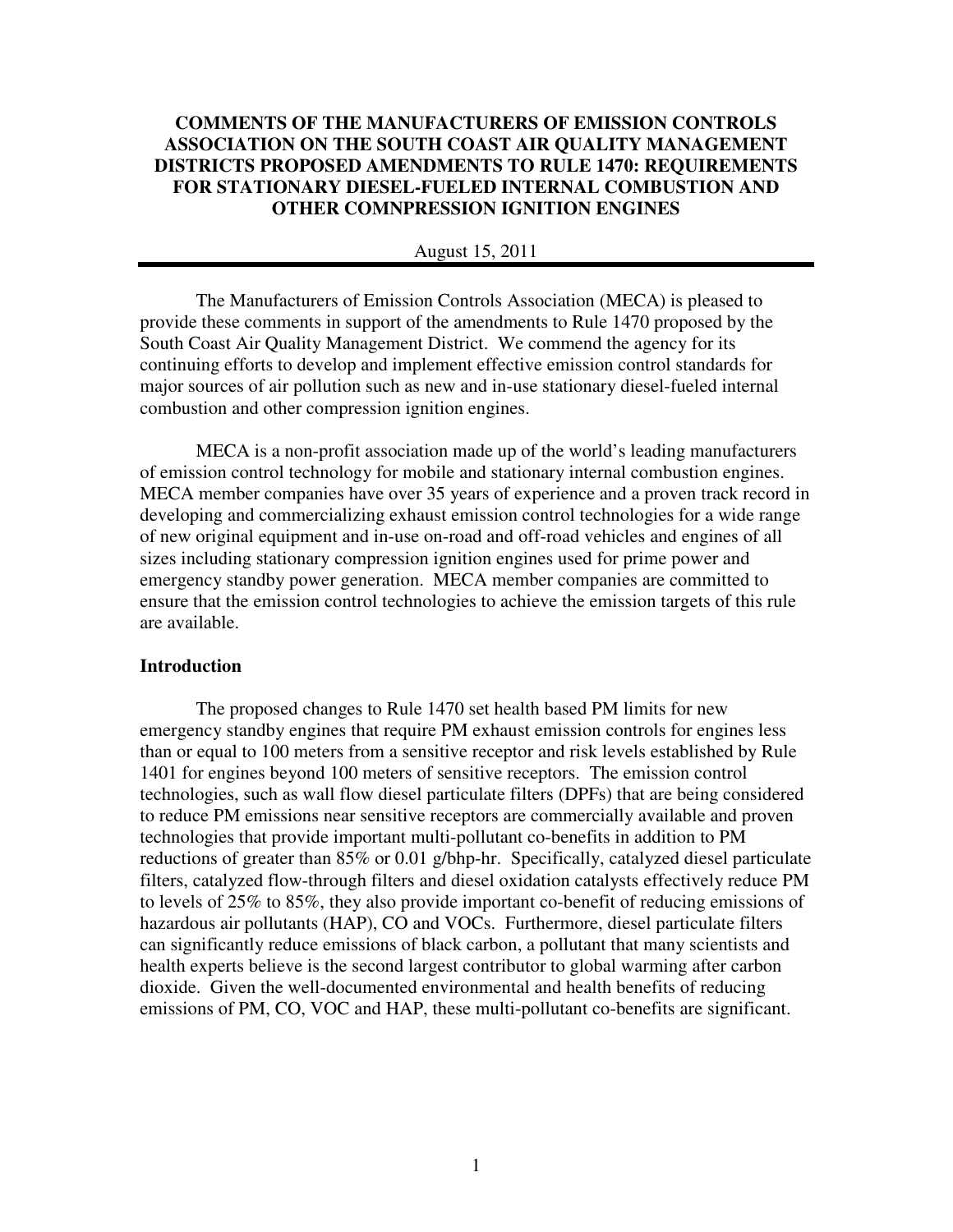# **COMMENTS OF THE MANUFACTURERS OF EMISSION CONTROLS ASSOCIATION ON THE SOUTH COAST AIR QUALITY MANAGEMENT DISTRICTS PROPOSED AMENDMENTS TO RULE 1470: REQUIREMENTS FOR STATIONARY DIESEL-FUELED INTERNAL COMBUSTION AND OTHER COMNPRESSION IGNITION ENGINES**

#### August 15, 2011

The Manufacturers of Emission Controls Association (MECA) is pleased to provide these comments in support of the amendments to Rule 1470 proposed by the South Coast Air Quality Management District. We commend the agency for its continuing efforts to develop and implement effective emission control standards for major sources of air pollution such as new and in-use stationary diesel-fueled internal combustion and other compression ignition engines.

MECA is a non-profit association made up of the world's leading manufacturers of emission control technology for mobile and stationary internal combustion engines. MECA member companies have over 35 years of experience and a proven track record in developing and commercializing exhaust emission control technologies for a wide range of new original equipment and in-use on-road and off-road vehicles and engines of all sizes including stationary compression ignition engines used for prime power and emergency standby power generation. MECA member companies are committed to ensure that the emission control technologies to achieve the emission targets of this rule are available.

## **Introduction**

The proposed changes to Rule 1470 set health based PM limits for new emergency standby engines that require PM exhaust emission controls for engines less than or equal to 100 meters from a sensitive receptor and risk levels established by Rule 1401 for engines beyond 100 meters of sensitive receptors. The emission control technologies, such as wall flow diesel particulate filters (DPFs) that are being considered to reduce PM emissions near sensitive receptors are commercially available and proven technologies that provide important multi-pollutant co-benefits in addition to PM reductions of greater than 85% or 0.01 g/bhp-hr. Specifically, catalyzed diesel particulate filters, catalyzed flow-through filters and diesel oxidation catalysts effectively reduce PM to levels of 25% to 85%, they also provide important co-benefit of reducing emissions of hazardous air pollutants (HAP), CO and VOCs. Furthermore, diesel particulate filters can significantly reduce emissions of black carbon, a pollutant that many scientists and health experts believe is the second largest contributor to global warming after carbon dioxide. Given the well-documented environmental and health benefits of reducing emissions of PM, CO, VOC and HAP, these multi-pollutant co-benefits are significant.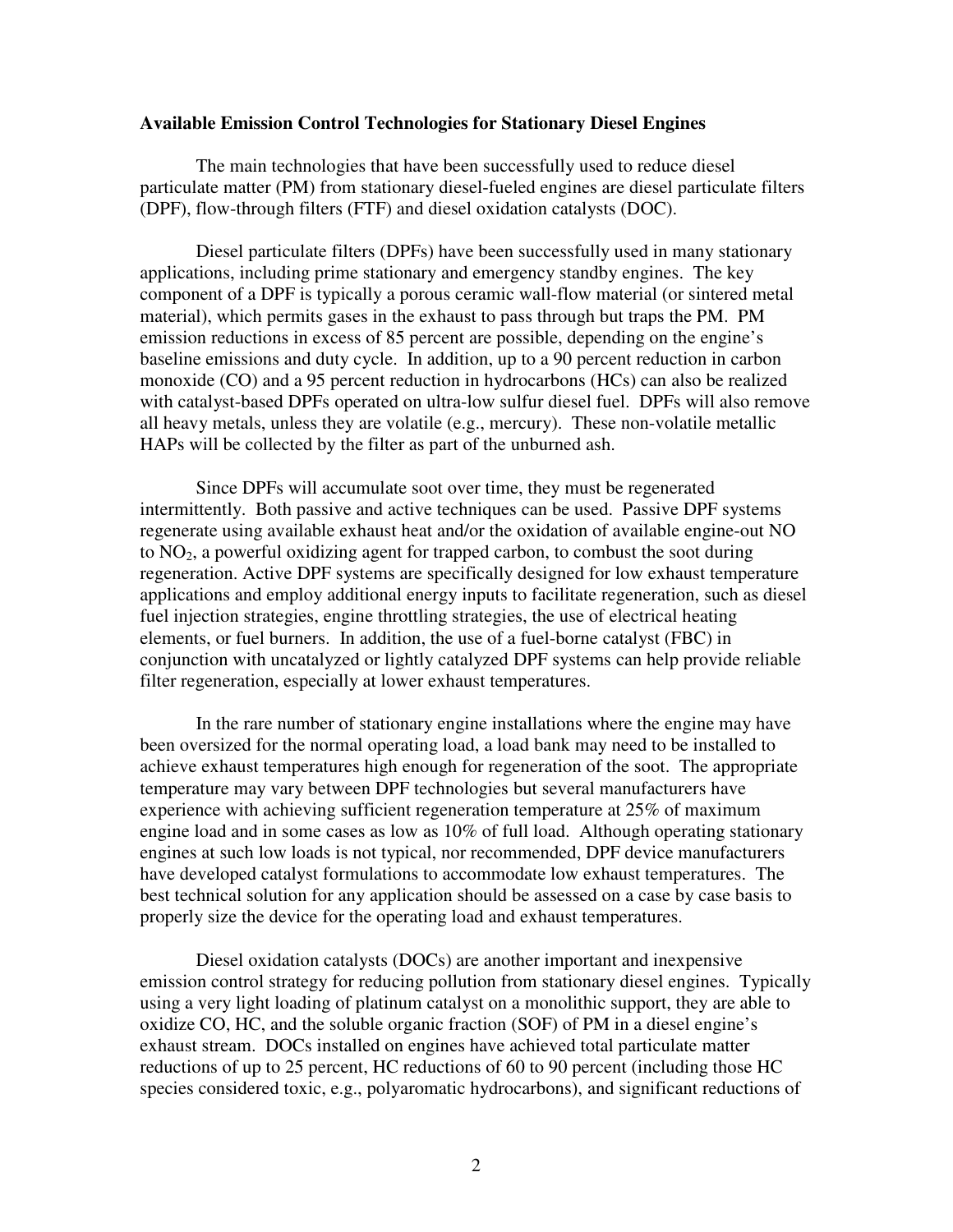## **Available Emission Control Technologies for Stationary Diesel Engines**

The main technologies that have been successfully used to reduce diesel particulate matter (PM) from stationary diesel-fueled engines are diesel particulate filters (DPF), flow-through filters (FTF) and diesel oxidation catalysts (DOC).

 Diesel particulate filters (DPFs) have been successfully used in many stationary applications, including prime stationary and emergency standby engines. The key component of a DPF is typically a porous ceramic wall-flow material (or sintered metal material), which permits gases in the exhaust to pass through but traps the PM. PM emission reductions in excess of 85 percent are possible, depending on the engine's baseline emissions and duty cycle. In addition, up to a 90 percent reduction in carbon monoxide (CO) and a 95 percent reduction in hydrocarbons (HCs) can also be realized with catalyst-based DPFs operated on ultra-low sulfur diesel fuel. DPFs will also remove all heavy metals, unless they are volatile (e.g., mercury). These non-volatile metallic HAPs will be collected by the filter as part of the unburned ash.

 Since DPFs will accumulate soot over time, they must be regenerated intermittently. Both passive and active techniques can be used. Passive DPF systems regenerate using available exhaust heat and/or the oxidation of available engine-out NO to  $NO<sub>2</sub>$ , a powerful oxidizing agent for trapped carbon, to combust the soot during regeneration. Active DPF systems are specifically designed for low exhaust temperature applications and employ additional energy inputs to facilitate regeneration, such as diesel fuel injection strategies, engine throttling strategies, the use of electrical heating elements, or fuel burners. In addition, the use of a fuel-borne catalyst (FBC) in conjunction with uncatalyzed or lightly catalyzed DPF systems can help provide reliable filter regeneration, especially at lower exhaust temperatures.

 In the rare number of stationary engine installations where the engine may have been oversized for the normal operating load, a load bank may need to be installed to achieve exhaust temperatures high enough for regeneration of the soot. The appropriate temperature may vary between DPF technologies but several manufacturers have experience with achieving sufficient regeneration temperature at 25% of maximum engine load and in some cases as low as  $10\%$  of full load. Although operating stationary engines at such low loads is not typical, nor recommended, DPF device manufacturers have developed catalyst formulations to accommodate low exhaust temperatures. The best technical solution for any application should be assessed on a case by case basis to properly size the device for the operating load and exhaust temperatures.

 Diesel oxidation catalysts (DOCs) are another important and inexpensive emission control strategy for reducing pollution from stationary diesel engines. Typically using a very light loading of platinum catalyst on a monolithic support, they are able to oxidize CO, HC, and the soluble organic fraction (SOF) of PM in a diesel engine's exhaust stream. DOCs installed on engines have achieved total particulate matter reductions of up to 25 percent, HC reductions of 60 to 90 percent (including those HC species considered toxic, e.g., polyaromatic hydrocarbons), and significant reductions of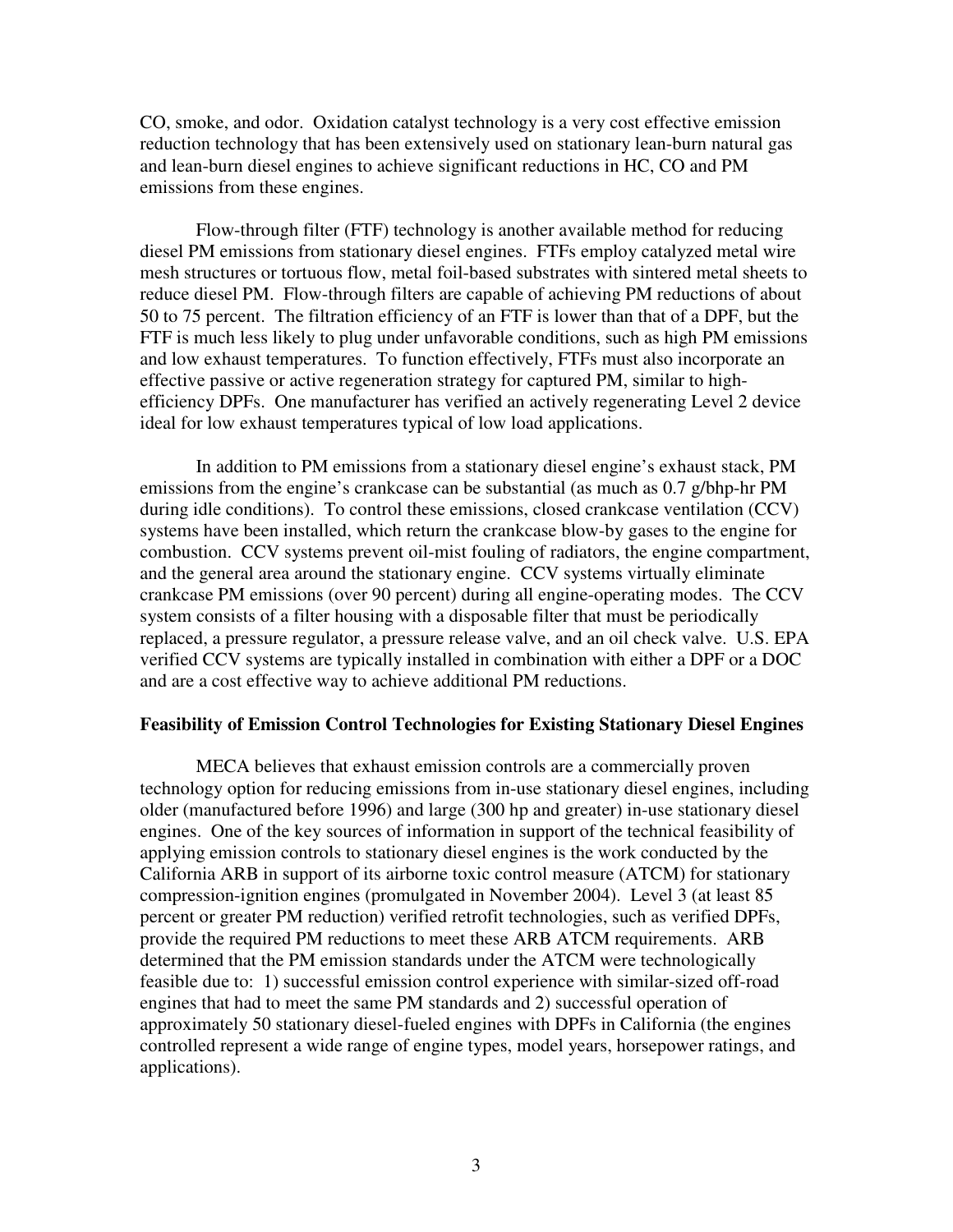CO, smoke, and odor. Oxidation catalyst technology is a very cost effective emission reduction technology that has been extensively used on stationary lean-burn natural gas and lean-burn diesel engines to achieve significant reductions in HC, CO and PM emissions from these engines.

 Flow-through filter (FTF) technology is another available method for reducing diesel PM emissions from stationary diesel engines. FTFs employ catalyzed metal wire mesh structures or tortuous flow, metal foil-based substrates with sintered metal sheets to reduce diesel PM. Flow-through filters are capable of achieving PM reductions of about 50 to 75 percent. The filtration efficiency of an FTF is lower than that of a DPF, but the FTF is much less likely to plug under unfavorable conditions, such as high PM emissions and low exhaust temperatures. To function effectively, FTFs must also incorporate an effective passive or active regeneration strategy for captured PM, similar to highefficiency DPFs. One manufacturer has verified an actively regenerating Level 2 device ideal for low exhaust temperatures typical of low load applications.

 In addition to PM emissions from a stationary diesel engine's exhaust stack, PM emissions from the engine's crankcase can be substantial (as much as 0.7 g/bhp-hr PM during idle conditions). To control these emissions, closed crankcase ventilation (CCV) systems have been installed, which return the crankcase blow-by gases to the engine for combustion. CCV systems prevent oil-mist fouling of radiators, the engine compartment, and the general area around the stationary engine. CCV systems virtually eliminate crankcase PM emissions (over 90 percent) during all engine-operating modes. The CCV system consists of a filter housing with a disposable filter that must be periodically replaced, a pressure regulator, a pressure release valve, and an oil check valve. U.S. EPA verified CCV systems are typically installed in combination with either a DPF or a DOC and are a cost effective way to achieve additional PM reductions.

#### **Feasibility of Emission Control Technologies for Existing Stationary Diesel Engines**

 MECA believes that exhaust emission controls are a commercially proven technology option for reducing emissions from in-use stationary diesel engines, including older (manufactured before 1996) and large (300 hp and greater) in-use stationary diesel engines. One of the key sources of information in support of the technical feasibility of applying emission controls to stationary diesel engines is the work conducted by the California ARB in support of its airborne toxic control measure (ATCM) for stationary compression-ignition engines (promulgated in November 2004). Level 3 (at least 85 percent or greater PM reduction) verified retrofit technologies, such as verified DPFs, provide the required PM reductions to meet these ARB ATCM requirements. ARB determined that the PM emission standards under the ATCM were technologically feasible due to: 1) successful emission control experience with similar-sized off-road engines that had to meet the same PM standards and 2) successful operation of approximately 50 stationary diesel-fueled engines with DPFs in California (the engines controlled represent a wide range of engine types, model years, horsepower ratings, and applications).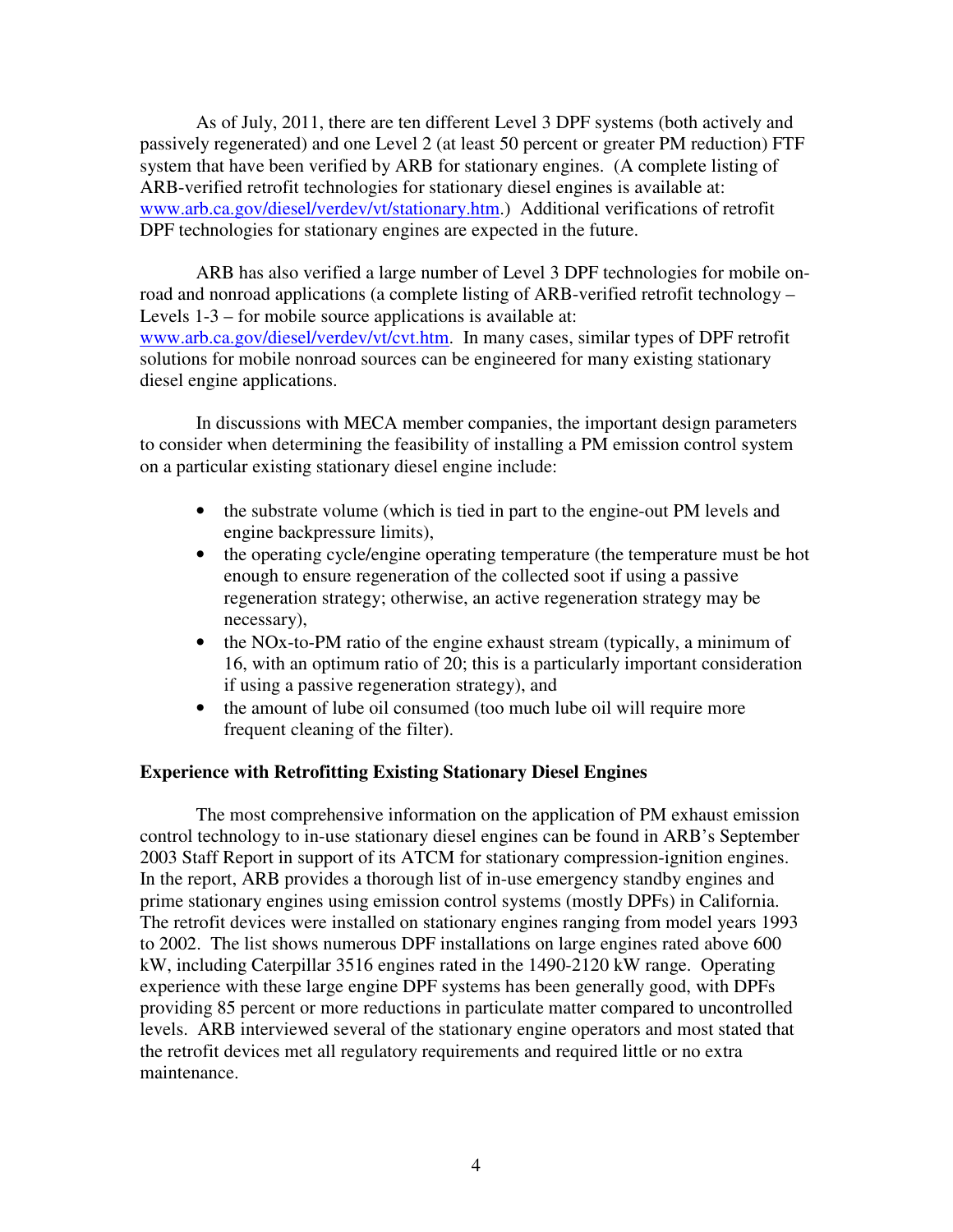As of July, 2011, there are ten different Level 3 DPF systems (both actively and passively regenerated) and one Level 2 (at least 50 percent or greater PM reduction) FTF system that have been verified by ARB for stationary engines. (A complete listing of ARB-verified retrofit technologies for stationary diesel engines is available at: www.arb.ca.gov/diesel/verdev/vt/stationary.htm.) Additional verifications of retrofit DPF technologies for stationary engines are expected in the future.

 ARB has also verified a large number of Level 3 DPF technologies for mobile onroad and nonroad applications (a complete listing of ARB-verified retrofit technology – Levels  $1-3$  – for mobile source applications is available at: www.arb.ca.gov/diesel/verdev/vt/cvt.htm. In many cases, similar types of DPF retrofit solutions for mobile nonroad sources can be engineered for many existing stationary diesel engine applications.

 In discussions with MECA member companies, the important design parameters to consider when determining the feasibility of installing a PM emission control system on a particular existing stationary diesel engine include:

- the substrate volume (which is tied in part to the engine-out PM levels and engine backpressure limits),
- the operating cycle/engine operating temperature (the temperature must be hot enough to ensure regeneration of the collected soot if using a passive regeneration strategy; otherwise, an active regeneration strategy may be necessary),
- the NOx-to-PM ratio of the engine exhaust stream (typically, a minimum of 16, with an optimum ratio of 20; this is a particularly important consideration if using a passive regeneration strategy), and
- the amount of lube oil consumed (too much lube oil will require more frequent cleaning of the filter).

## **Experience with Retrofitting Existing Stationary Diesel Engines**

 The most comprehensive information on the application of PM exhaust emission control technology to in-use stationary diesel engines can be found in ARB's September 2003 Staff Report in support of its ATCM for stationary compression-ignition engines. In the report, ARB provides a thorough list of in-use emergency standby engines and prime stationary engines using emission control systems (mostly DPFs) in California. The retrofit devices were installed on stationary engines ranging from model years 1993 to 2002. The list shows numerous DPF installations on large engines rated above 600 kW, including Caterpillar 3516 engines rated in the 1490-2120 kW range. Operating experience with these large engine DPF systems has been generally good, with DPFs providing 85 percent or more reductions in particulate matter compared to uncontrolled levels. ARB interviewed several of the stationary engine operators and most stated that the retrofit devices met all regulatory requirements and required little or no extra maintenance.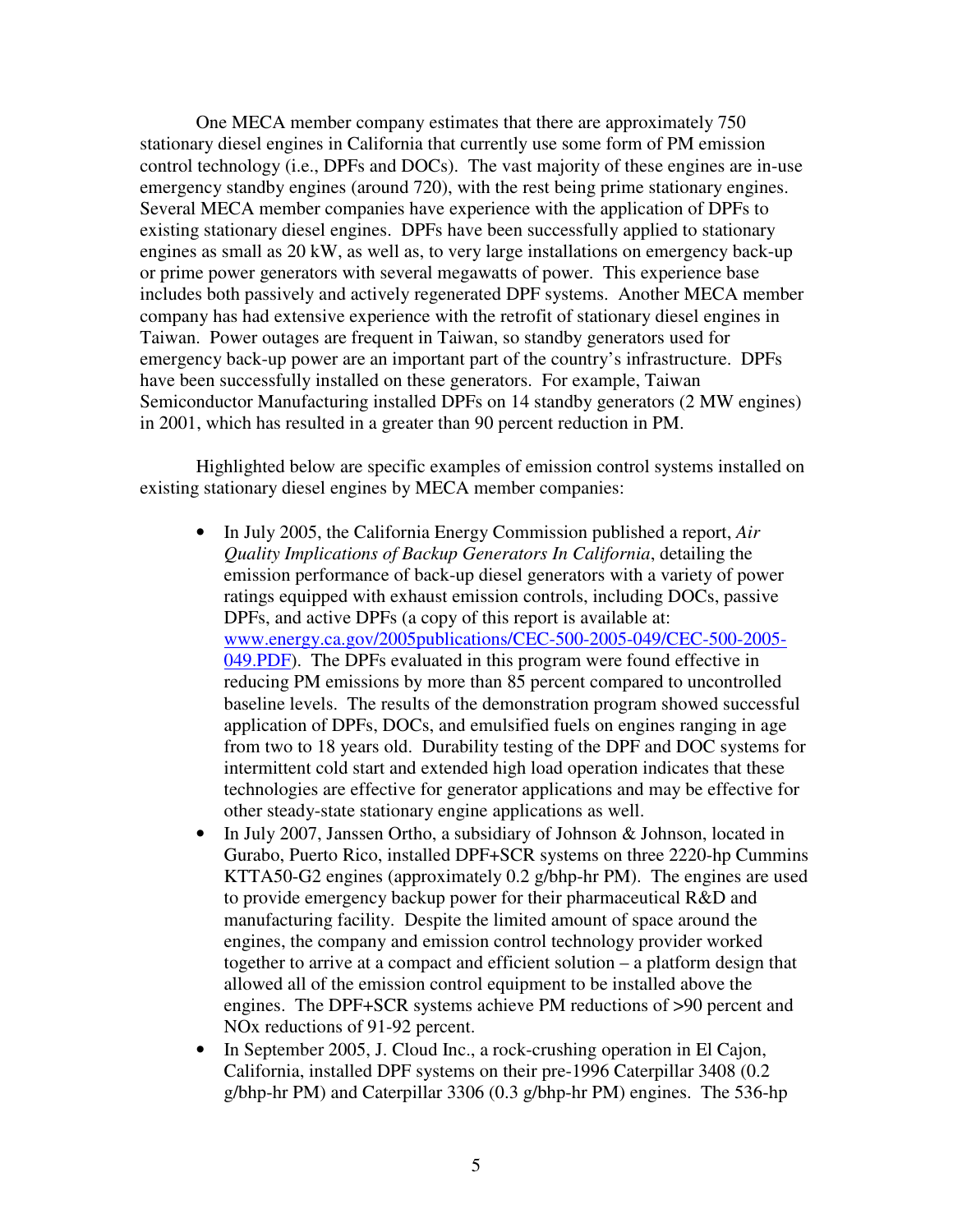One MECA member company estimates that there are approximately 750 stationary diesel engines in California that currently use some form of PM emission control technology (i.e., DPFs and DOCs). The vast majority of these engines are in-use emergency standby engines (around 720), with the rest being prime stationary engines. Several MECA member companies have experience with the application of DPFs to existing stationary diesel engines. DPFs have been successfully applied to stationary engines as small as 20 kW, as well as, to very large installations on emergency back-up or prime power generators with several megawatts of power. This experience base includes both passively and actively regenerated DPF systems. Another MECA member company has had extensive experience with the retrofit of stationary diesel engines in Taiwan. Power outages are frequent in Taiwan, so standby generators used for emergency back-up power are an important part of the country's infrastructure. DPFs have been successfully installed on these generators. For example, Taiwan Semiconductor Manufacturing installed DPFs on 14 standby generators (2 MW engines) in 2001, which has resulted in a greater than 90 percent reduction in PM.

 Highlighted below are specific examples of emission control systems installed on existing stationary diesel engines by MECA member companies:

- In July 2005, the California Energy Commission published a report, *Air Quality Implications of Backup Generators In California*, detailing the emission performance of back-up diesel generators with a variety of power ratings equipped with exhaust emission controls, including DOCs, passive DPFs, and active DPFs (a copy of this report is available at: www.energy.ca.gov/2005publications/CEC-500-2005-049/CEC-500-2005- 049.PDF). The DPFs evaluated in this program were found effective in reducing PM emissions by more than 85 percent compared to uncontrolled baseline levels. The results of the demonstration program showed successful application of DPFs, DOCs, and emulsified fuels on engines ranging in age from two to 18 years old. Durability testing of the DPF and DOC systems for intermittent cold start and extended high load operation indicates that these technologies are effective for generator applications and may be effective for other steady-state stationary engine applications as well.
- In July 2007, Janssen Ortho, a subsidiary of Johnson & Johnson, located in Gurabo, Puerto Rico, installed DPF+SCR systems on three 2220-hp Cummins KTTA50-G2 engines (approximately 0.2 g/bhp-hr PM). The engines are used to provide emergency backup power for their pharmaceutical R&D and manufacturing facility. Despite the limited amount of space around the engines, the company and emission control technology provider worked together to arrive at a compact and efficient solution – a platform design that allowed all of the emission control equipment to be installed above the engines. The DPF+SCR systems achieve PM reductions of >90 percent and NOx reductions of 91-92 percent.
- In September 2005, J. Cloud Inc., a rock-crushing operation in El Cajon, California, installed DPF systems on their pre-1996 Caterpillar 3408 (0.2 g/bhp-hr PM) and Caterpillar 3306 (0.3 g/bhp-hr PM) engines. The 536-hp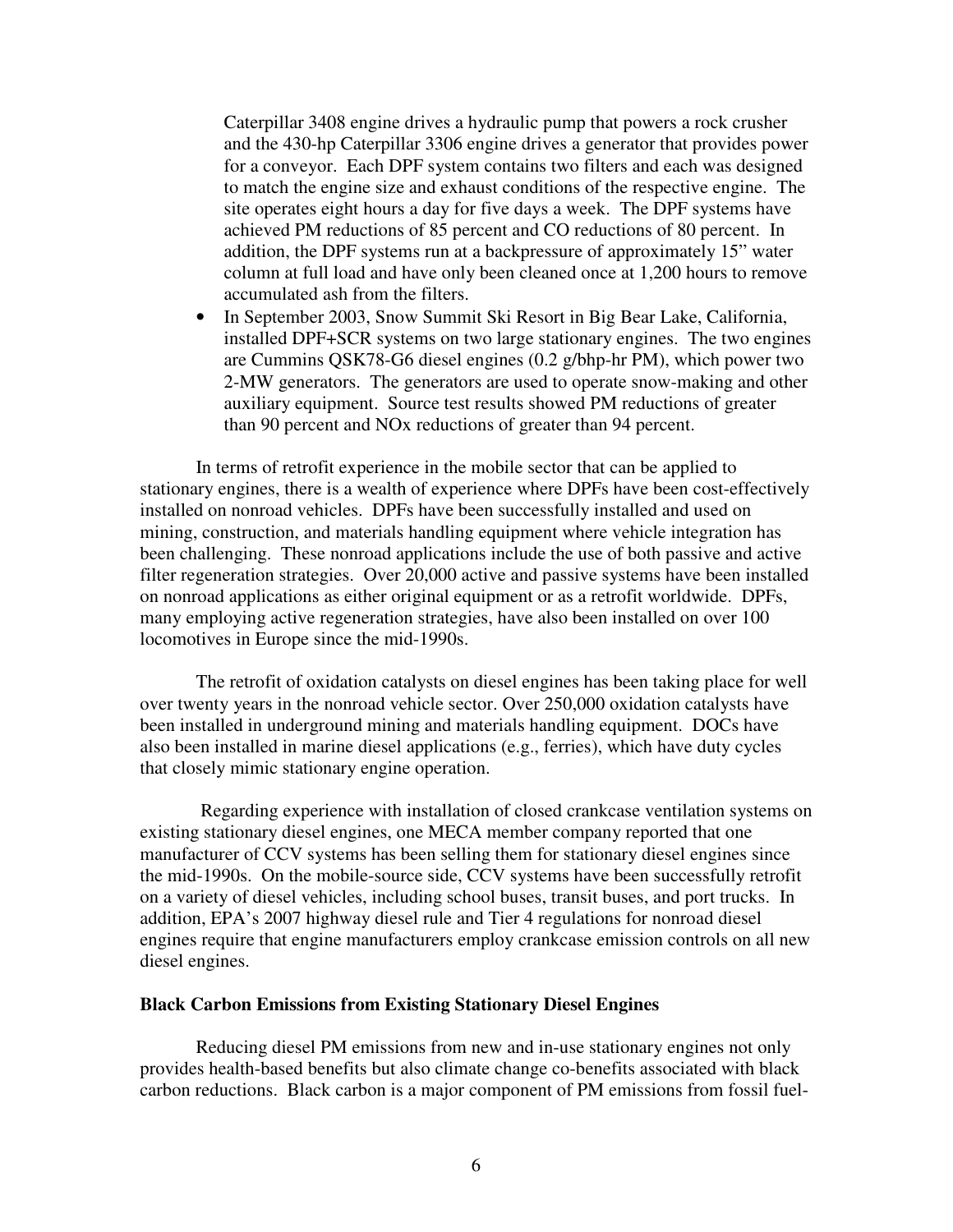Caterpillar 3408 engine drives a hydraulic pump that powers a rock crusher and the 430-hp Caterpillar 3306 engine drives a generator that provides power for a conveyor. Each DPF system contains two filters and each was designed to match the engine size and exhaust conditions of the respective engine. The site operates eight hours a day for five days a week. The DPF systems have achieved PM reductions of 85 percent and CO reductions of 80 percent. In addition, the DPF systems run at a backpressure of approximately 15" water column at full load and have only been cleaned once at 1,200 hours to remove accumulated ash from the filters.

• In September 2003, Snow Summit Ski Resort in Big Bear Lake, California, installed DPF+SCR systems on two large stationary engines. The two engines are Cummins QSK78-G6 diesel engines (0.2 g/bhp-hr PM), which power two 2-MW generators. The generators are used to operate snow-making and other auxiliary equipment. Source test results showed PM reductions of greater than 90 percent and NOx reductions of greater than 94 percent.

 In terms of retrofit experience in the mobile sector that can be applied to stationary engines, there is a wealth of experience where DPFs have been cost-effectively installed on nonroad vehicles. DPFs have been successfully installed and used on mining, construction, and materials handling equipment where vehicle integration has been challenging. These nonroad applications include the use of both passive and active filter regeneration strategies. Over 20,000 active and passive systems have been installed on nonroad applications as either original equipment or as a retrofit worldwide. DPFs, many employing active regeneration strategies, have also been installed on over 100 locomotives in Europe since the mid-1990s.

 The retrofit of oxidation catalysts on diesel engines has been taking place for well over twenty years in the nonroad vehicle sector. Over 250,000 oxidation catalysts have been installed in underground mining and materials handling equipment. DOCs have also been installed in marine diesel applications (e.g., ferries), which have duty cycles that closely mimic stationary engine operation.

 Regarding experience with installation of closed crankcase ventilation systems on existing stationary diesel engines, one MECA member company reported that one manufacturer of CCV systems has been selling them for stationary diesel engines since the mid-1990s. On the mobile-source side, CCV systems have been successfully retrofit on a variety of diesel vehicles, including school buses, transit buses, and port trucks. In addition, EPA's 2007 highway diesel rule and Tier 4 regulations for nonroad diesel engines require that engine manufacturers employ crankcase emission controls on all new diesel engines.

#### **Black Carbon Emissions from Existing Stationary Diesel Engines**

Reducing diesel PM emissions from new and in-use stationary engines not only provides health-based benefits but also climate change co-benefits associated with black carbon reductions. Black carbon is a major component of PM emissions from fossil fuel